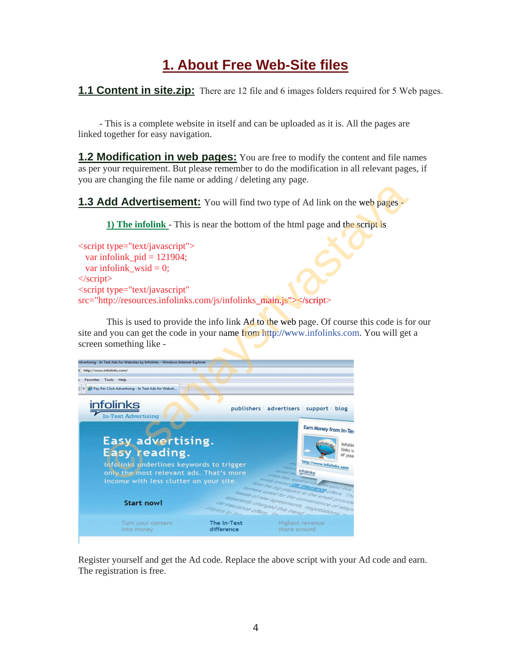## **1. About Free Web-Site files**

**1.1 Content in site.zip:** There are 12 file and 6 images folders required for 5 Web pages.

 - This is a complete website in itself and can be uploaded as it is. All the pages are linked together for easy navigation.

**1.2 Modification in web pages:** You are free to modify the content and file names as per your requirement. But please remember to do the modification in all relevant pages, if you are changing the file name or adding / deleting any page.

**1.3 Add Advertisement:** You will find two type of Ad link on the web pages -

**1) The infolink** - This is near the bottom of the html page and the script is

<script type="text/javascript"> var infolink\_pid =  $121904$ ; var infolink wsid  $= 0$ ; </script> <script type="text/javascript" src="http://resources.infolinks.com/js/infolinks\_main.js"></script> You will find two type of Ad link on the web pages<br>hear the bottom of the html page and the script is<br>m/js/infolinks\_main.js"></script><br>info link Ad to the web page. Of course this code is for<br>our name from http://www.info

This is used to provide the info link Ad to the web page. Of course this code is for our site and you can get the code in your name from http://www.infolinks.com. You will get a screen something like -



Register yourself and get the Ad code. Replace the above script with your Ad code and earn. The registration is free.